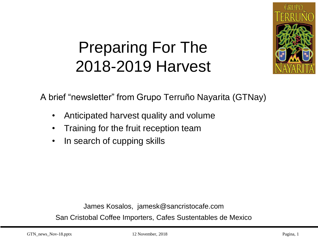

# Preparing For The 2018-2019 Harvest

A brief "newsletter" from Grupo Terruño Nayarita (GTNay)

- Anticipated harvest quality and volume
- Training for the fruit reception team
- In search of cupping skills

James Kosalos, jamesk@sancristocafe.com

San Cristobal Coffee Importers, Cafes Sustentables de Mexico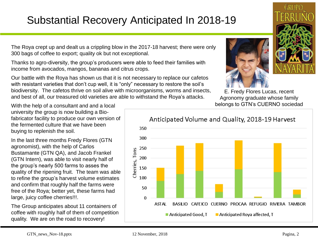### Substantial Recovery Anticipated In 2018-19

The Roya crept up and dealt us a crippling blow in the 2017-18 harvest; there were only 300 bags of coffee to export; quality ok but not exceptional.

Thanks to agro-diversity, the group's producers were able to feed their families with income from avocados, mangos, bananas and citrus crops.

Our battle with the Roya has shown us that it is not necessary to replace our cafetos with resistant varieties that don't cup well, it is "only" necessary to restore the soil's biodiversity. The cafetos thrive on soil alive with microorganisms, worms and insects, and best of all, our treasured old varieties are able to withstand the Roya's attacks.





E. Fredy Flores Lucas, recent Agronomy graduate whose family belongs to GTN's CUERNO sociedad

With the help of a consultant and and a local university the group is now building a Biofabricator facility to produce our own version of the fermented culture that we have been buying to replenish the soil.

In the last three months Fredy Flores (GTN agronomist), with the help of Carlos Bustamante (GTN QA), and Jacob Frankel (GTN Intern), was able to visit nearly half of the group's nearly 500 farms to asses the quality of the ripening fruit. The team was able to refine the group's harvest volume estimates and confirm that roughly half the farms were free of the Roya; better yet, these farms had large, juicy coffee cherries!!!.

The Group anticipates about 11 containers of coffee with roughly half of them of competition quality. We are on the road to recovery!

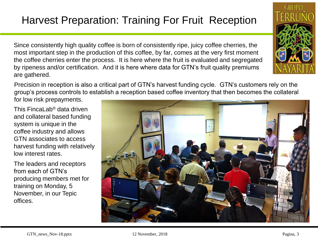### Harvest Preparation: Training For Fruit Reception

Since consistently high quality coffee is born of consistently ripe, juicy coffee cherries, the most important step in the production of this coffee, by far, comes at the very first moment the coffee cherries enter the process. It is here where the fruit is evaluated and segregated by ripeness and/or certification. And it is here where data for GTN's fruit quality premiums are gathered.

Precision in reception is also a critical part of GTN's harvest funding cycle. GTN's customers rely on the group's process controls to establish a reception based coffee inventory that then becomes the collateral

for low risk prepayments.

This FincaLab® data driven and collateral based funding system is unique in the coffee industry and allows GTN associates to access harvest funding with relatively low interest rates.

The leaders and receptors from each of GTN's producing members met for training on Monday, 5 November, in our Tepic offices.





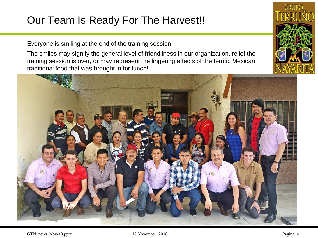#### Our Team Is Ready For The Harvest!!

Everyone is smiling at the end of the training session.

The smiles may signify the general level of friendliness in our organization, relief the training session is over, or may represent the lingering effects of the terrific Mexican traditional food that was brought in for lunch!